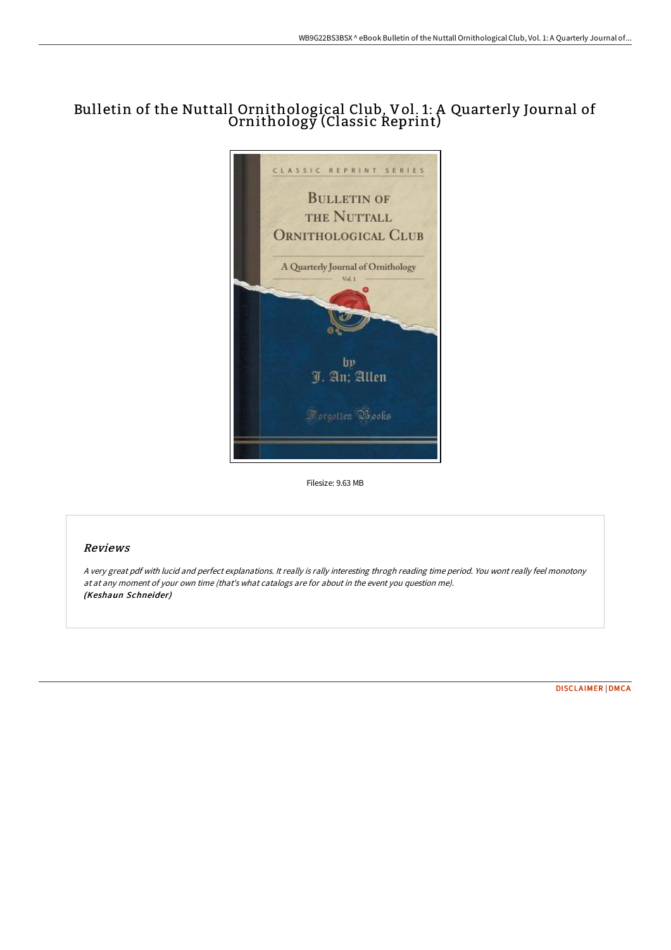# Bulletin of the Nuttall Ornithological Club, Vol. 1: A Quarterly Journal of Ornithology (Classic Reprint)



Filesize: 9.63 MB

## Reviews

<sup>A</sup> very great pdf with lucid and perfect explanations. It really is rally interesting throgh reading time period. You wont really feel monotony at at any moment of your own time (that's what catalogs are for about in the event you question me). (Keshaun Schneider)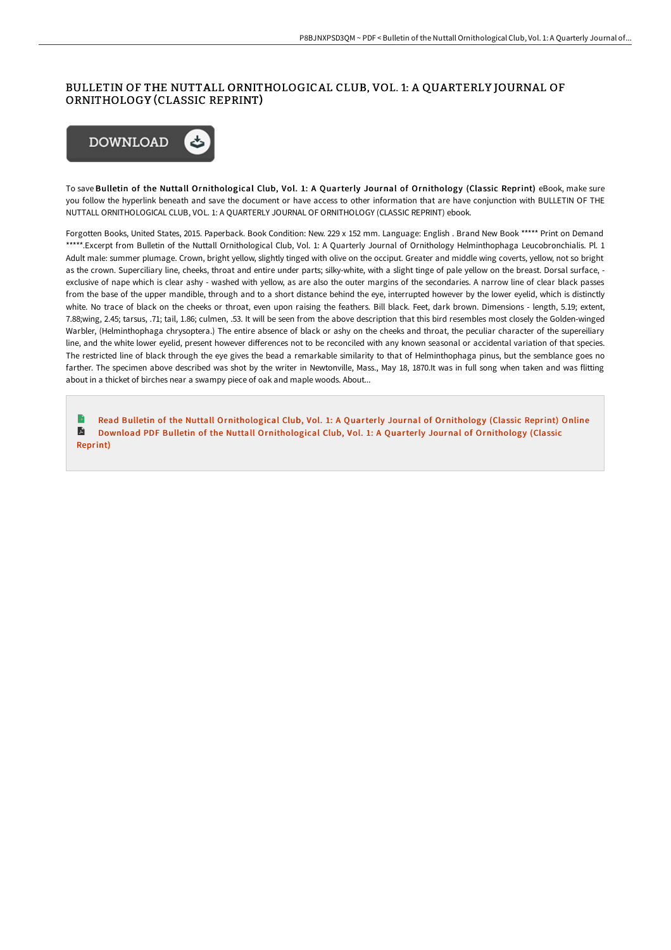### BULLETIN OF THE NUTTALL ORNITHOLOGICAL CLUB, VOL. 1: A QUARTERLY JOURNAL OF ORNITHOLOGY (CLASSIC REPRINT)



To save Bulletin of the Nuttall Ornithological Club, Vol. 1: A Quarterly Journal of Ornithology (Classic Reprint) eBook, make sure you follow the hyperlink beneath and save the document or have access to other information that are have conjunction with BULLETIN OF THE NUTTALL ORNITHOLOGICAL CLUB, VOL. 1: A QUARTERLY JOURNAL OF ORNITHOLOGY (CLASSIC REPRINT) ebook.

Forgotten Books, United States, 2015. Paperback. Book Condition: New. 229 x 152 mm. Language: English . Brand New Book \*\*\*\*\* Print on Demand \*\*\*\*\*.Excerpt from Bulletin of the Nuttall Ornithological Club, Vol. 1: A Quarterly Journal of Ornithology Helminthophaga Leucobronchialis. Pl. 1 Adult male: summer plumage. Crown, bright yellow, slightly tinged with olive on the occiput. Greater and middle wing coverts, yellow, not so bright as the crown. Superciliary line, cheeks, throat and entire under parts; silky-white, with a slight tinge of pale yellow on the breast. Dorsal surface, exclusive of nape which is clear ashy - washed with yellow, as are also the outer margins of the secondaries. A narrow line of clear black passes from the base of the upper mandible, through and to a short distance behind the eye, interrupted however by the lower eyelid, which is distinctly white. No trace of black on the cheeks or throat, even upon raising the feathers. Bill black. Feet, dark brown. Dimensions - length, 5.19; extent, 7.88;wing, 2.45; tarsus, .71; tail, 1.86; culmen, .53. It will be seen from the above description that this bird resembles most closely the Golden-winged Warbler, (Helminthophaga chrysoptera.) The entire absence of black or ashy on the cheeks and throat, the peculiar character of the supereiliary line, and the white lower eyelid, present however differences not to be reconciled with any known seasonal or accidental variation of that species. The restricted line of black through the eye gives the bead a remarkable similarity to that of Helminthophaga pinus, but the semblance goes no farther. The specimen above described was shot by the writer in Newtonville, Mass., May 18, 1870.It was in full song when taken and was flitting about in a thicket of birches near a swampy piece of oak and maple woods. About...

L. Read Bulletin of the Nuttall [Ornithological](http://digilib.live/bulletin-of-the-nuttall-ornithological-club-vol-.html) Club, Vol. 1: A Quarterly Journal of Ornithology (Classic Reprint) Online R Download PDF Bulletin of the Nuttall [Ornithological](http://digilib.live/bulletin-of-the-nuttall-ornithological-club-vol-.html) Club, Vol. 1: A Quarterly Journal of Ornithology (Classic Reprint)